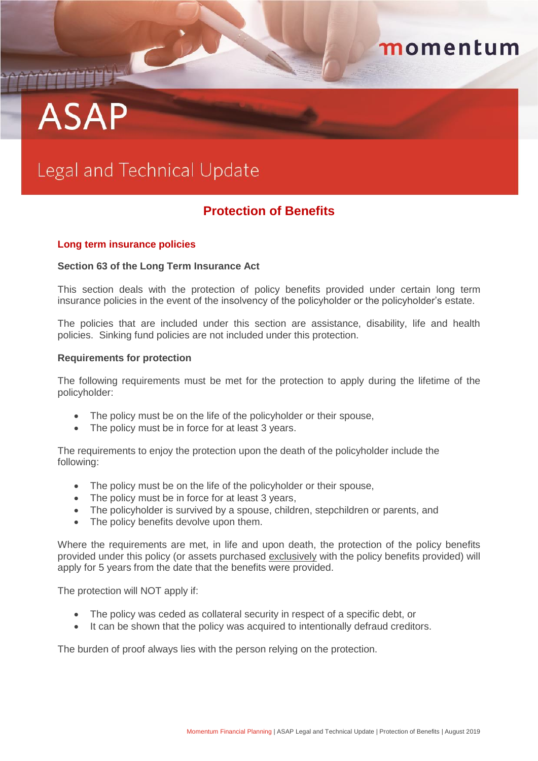# **ASAP**

## Legal and Technical Update

### **Protection of Benefits**

momentum

#### **Long term insurance policies**

#### **S***e***ction 63 of the Long Term Insurance Act**

This section deals with the protection of policy benefits provided under certain long term insurance policies in the event of the insolvency of the policyholder or the policyholder's estate.

The policies that are included under this section are assistance, disability, life and health policies. Sinking fund policies are not included under this protection.

#### **Requirements for protection**

The following requirements must be met for the protection to apply during the lifetime of the policyholder:

- The policy must be on the life of the policyholder or their spouse,
- The policy must be in force for at least 3 years.

The requirements to enjoy the protection upon the death of the policyholder include the following:

- The policy must be on the life of the policyholder or their spouse,
- The policy must be in force for at least 3 years,
- The policyholder is survived by a spouse, children, stepchildren or parents, and
- The policy benefits devolve upon them.

Where the requirements are met, in life and upon death, the protection of the policy benefits provided under this policy (or assets purchased exclusively with the policy benefits provided) will apply for 5 years from the date that the benefits were provided.

The protection will NOT apply if:

- The policy was ceded as collateral security in respect of a specific debt, or
- It can be shown that the policy was acquired to intentionally defraud creditors.

The burden of proof always lies with the person relying on the protection.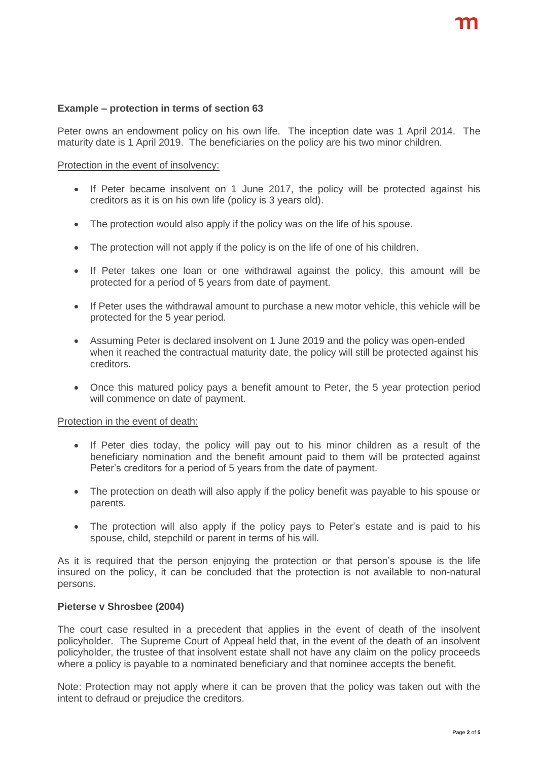#### **Example – protection in terms of section 63**

Peter owns an endowment policy on his own life. The inception date was 1 April 2014. The maturity date is 1 April 2019. The beneficiaries on the policy are his two minor children.

#### Protection in the event of insolvency:

- If Peter became insolvent on 1 June 2017, the policy will be protected against his creditors as it is on his own life (policy is 3 years old).
- The protection would also apply if the policy was on the life of his spouse.
- The protection will not apply if the policy is on the life of one of his children.
- If Peter takes one loan or one withdrawal against the policy, this amount will be protected for a period of 5 years from date of payment.
- If Peter uses the withdrawal amount to purchase a new motor vehicle, this vehicle will be protected for the 5 year period.
- Assuming Peter is declared insolvent on 1 June 2019 and the policy was open-ended when it reached the contractual maturity date, the policy will still be protected against his creditors.
- Once this matured policy pays a benefit amount to Peter, the 5 year protection period will commence on date of payment.

#### Protection in the event of death:

- If Peter dies today, the policy will pay out to his minor children as a result of the beneficiary nomination and the benefit amount paid to them will be protected against Peter's creditors for a period of 5 years from the date of payment.
- The protection on death will also apply if the policy benefit was payable to his spouse or parents.
- The protection will also apply if the policy pays to Peter's estate and is paid to his spouse, child, stepchild or parent in terms of his will.

As it is required that the person enjoying the protection or that person's spouse is the life insured on the policy, it can be concluded that the protection is not available to non-natural persons.

#### **Pieterse v Shrosbee (2004)**

The court case resulted in a precedent that applies in the event of death of the insolvent policyholder. The Supreme Court of Appeal held that, in the event of the death of an insolvent policyholder, the trustee of that insolvent estate shall not have any claim on the policy proceeds where a policy is payable to a nominated beneficiary and that nominee accepts the benefit.

Note: Protection may not apply where it can be proven that the policy was taken out with the intent to defraud or prejudice the creditors.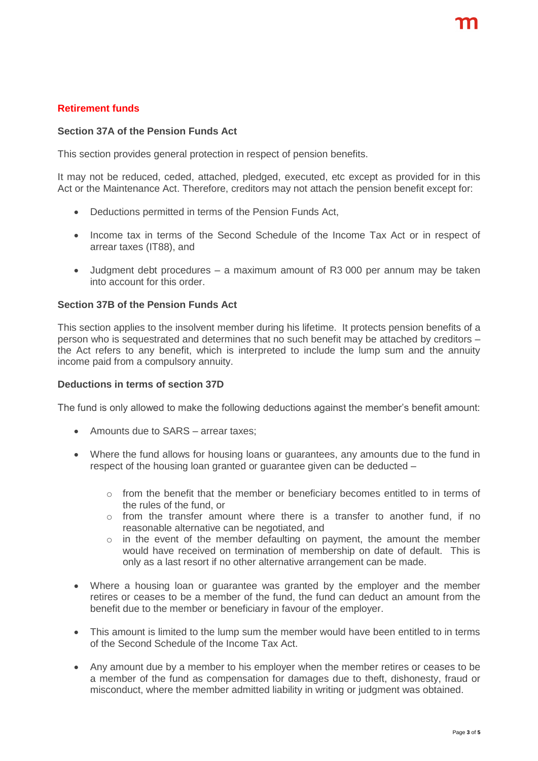#### **Retirement funds**

#### **Section 37A of the Pension Funds Act**

This section provides general protection in respect of pension benefits.

It may not be reduced, ceded, attached, pledged, executed, etc except as provided for in this Act or the Maintenance Act. Therefore, creditors may not attach the pension benefit except for:

- Deductions permitted in terms of the Pension Funds Act,
- Income tax in terms of the Second Schedule of the Income Tax Act or in respect of arrear taxes (IT88), and
- Judgment debt procedures a maximum amount of R3 000 per annum may be taken into account for this order.

#### **Section 37B of the Pension Funds Act**

This section applies to the insolvent member during his lifetime. It protects pension benefits of a person who is sequestrated and determines that no such benefit may be attached by creditors – the Act refers to any benefit, which is interpreted to include the lump sum and the annuity income paid from a compulsory annuity.

#### **Deductions in terms of section 37D**

The fund is only allowed to make the following deductions against the member's benefit amount:

- Amounts due to SARS arrear taxes:
- Where the fund allows for housing loans or guarantees, any amounts due to the fund in respect of the housing loan granted or guarantee given can be deducted –
	- $\circ$  from the benefit that the member or beneficiary becomes entitled to in terms of the rules of the fund, or
	- $\circ$  from the transfer amount where there is a transfer to another fund, if no reasonable alternative can be negotiated, and
	- o in the event of the member defaulting on payment, the amount the member would have received on termination of membership on date of default. This is only as a last resort if no other alternative arrangement can be made.
- Where a housing loan or guarantee was granted by the employer and the member retires or ceases to be a member of the fund, the fund can deduct an amount from the benefit due to the member or beneficiary in favour of the employer.
- This amount is limited to the lump sum the member would have been entitled to in terms of the Second Schedule of the Income Tax Act.
- Any amount due by a member to his employer when the member retires or ceases to be a member of the fund as compensation for damages due to theft, dishonesty, fraud or misconduct, where the member admitted liability in writing or judgment was obtained.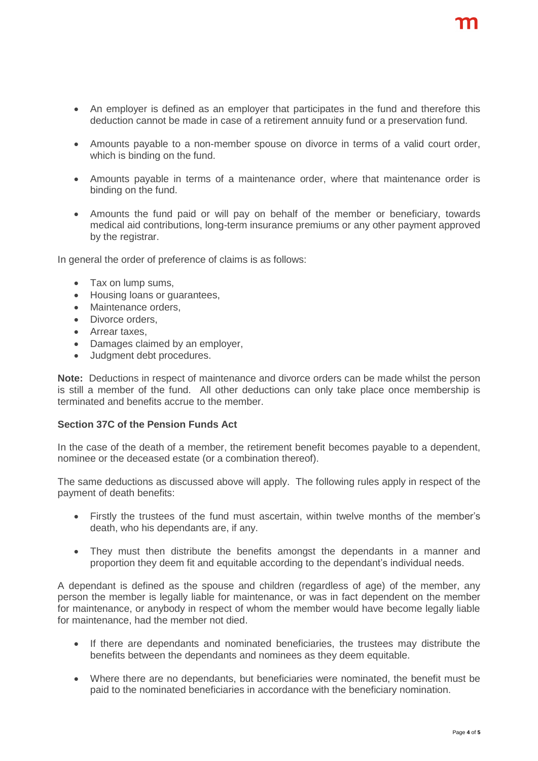- An employer is defined as an employer that participates in the fund and therefore this deduction cannot be made in case of a retirement annuity fund or a preservation fund.
- Amounts payable to a non-member spouse on divorce in terms of a valid court order, which is binding on the fund.
- Amounts payable in terms of a maintenance order, where that maintenance order is binding on the fund.
- Amounts the fund paid or will pay on behalf of the member or beneficiary, towards medical aid contributions, long-term insurance premiums or any other payment approved by the registrar.

In general the order of preference of claims is as follows:

- Tax on lump sums,
- Housing loans or guarantees,
- Maintenance orders,
- Divorce orders.
- Arrear taxes.
- Damages claimed by an employer,
- Judgment debt procedures.

**Note:** Deductions in respect of maintenance and divorce orders can be made whilst the person is still a member of the fund. All other deductions can only take place once membership is terminated and benefits accrue to the member.

#### **Section 37C of the Pension Funds Act**

In the case of the death of a member, the retirement benefit becomes payable to a dependent, nominee or the deceased estate (or a combination thereof).

The same deductions as discussed above will apply. The following rules apply in respect of the payment of death benefits:

- Firstly the trustees of the fund must ascertain, within twelve months of the member's death, who his dependants are, if any.
- They must then distribute the benefits amongst the dependants in a manner and proportion they deem fit and equitable according to the dependant's individual needs.

A dependant is defined as the spouse and children (regardless of age) of the member, any person the member is legally liable for maintenance, or was in fact dependent on the member for maintenance, or anybody in respect of whom the member would have become legally liable for maintenance, had the member not died.

- If there are dependants and nominated beneficiaries, the trustees may distribute the benefits between the dependants and nominees as they deem equitable.
- Where there are no dependants, but beneficiaries were nominated, the benefit must be paid to the nominated beneficiaries in accordance with the beneficiary nomination.